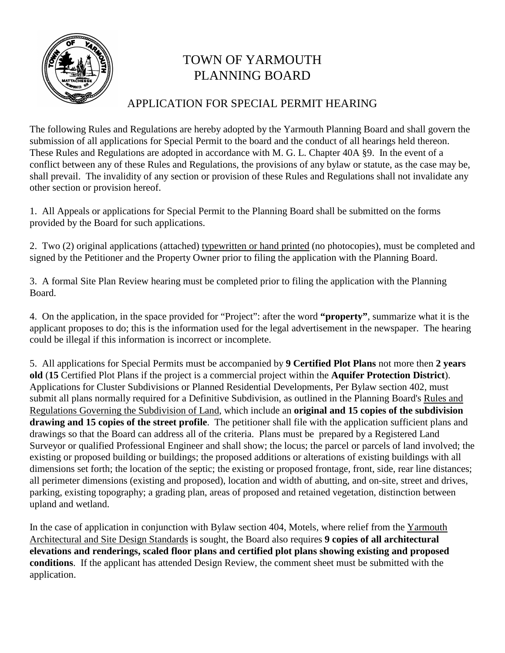

# TOWN OF YARMOUTH PLANNING BOARD

## APPLICATION FOR SPECIAL PERMIT HEARING

The following Rules and Regulations are hereby adopted by the Yarmouth Planning Board and shall govern the submission of all applications for Special Permit to the board and the conduct of all hearings held thereon. These Rules and Regulations are adopted in accordance with M. G. L. Chapter 40A §9. In the event of a conflict between any of these Rules and Regulations, the provisions of any bylaw or statute, as the case may be, shall prevail. The invalidity of any section or provision of these Rules and Regulations shall not invalidate any other section or provision hereof.

1. All Appeals or applications for Special Permit to the Planning Board shall be submitted on the forms provided by the Board for such applications.

2. Two (2) original applications (attached) typewritten or hand printed (no photocopies), must be completed and signed by the Petitioner and the Property Owner prior to filing the application with the Planning Board.

3. A formal Site Plan Review hearing must be completed prior to filing the application with the Planning Board.

4. On the application, in the space provided for "Project": after the word **"property"**, summarize what it is the applicant proposes to do; this is the information used for the legal advertisement in the newspaper. The hearing could be illegal if this information is incorrect or incomplete.

5. All applications for Special Permits must be accompanied by **9 Certified Plot Plans** not more then **2 years old** (**15** Certified Plot Plans if the project is a commercial project within the **Aquifer Protection District**). Applications for Cluster Subdivisions or Planned Residential Developments, Per Bylaw section 402, must submit all plans normally required for a Definitive Subdivision, as outlined in the Planning Board's Rules and Regulations Governing the Subdivision of Land, which include an **original and 15 copies of the subdivision drawing and 15 copies of the street profile**. The petitioner shall file with the application sufficient plans and drawings so that the Board can address all of the criteria. Plans must be prepared by a Registered Land Surveyor or qualified Professional Engineer and shall show; the locus; the parcel or parcels of land involved; the existing or proposed building or buildings; the proposed additions or alterations of existing buildings with all dimensions set forth; the location of the septic; the existing or proposed frontage, front, side, rear line distances; all perimeter dimensions (existing and proposed), location and width of abutting, and on-site, street and drives, parking, existing topography; a grading plan, areas of proposed and retained vegetation, distinction between upland and wetland.

In the case of application in conjunction with Bylaw section 404, Motels, where relief from the Yarmouth Architectural and Site Design Standards is sought, the Board also requires **9 copies of all architectural elevations and renderings, scaled floor plans and certified plot plans showing existing and proposed conditions**. If the applicant has attended Design Review, the comment sheet must be submitted with the application.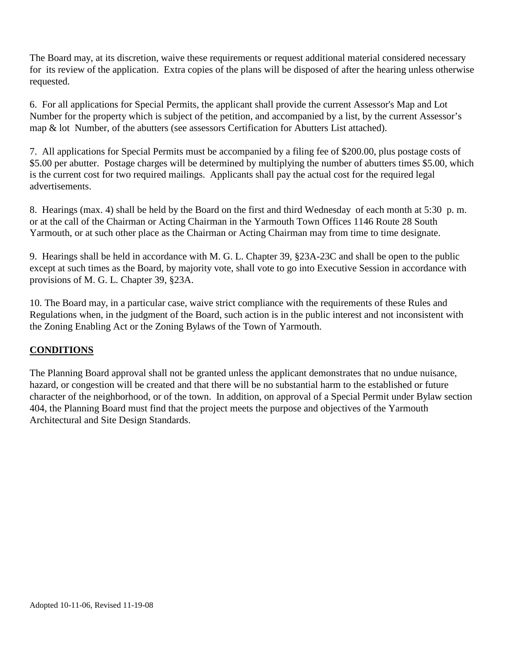The Board may, at its discretion, waive these requirements or request additional material considered necessary for its review of the application. Extra copies of the plans will be disposed of after the hearing unless otherwise requested.

6. For all applications for Special Permits, the applicant shall provide the current Assessor's Map and Lot Number for the property which is subject of the petition, and accompanied by a list, by the current Assessor's map & lot Number, of the abutters (see assessors Certification for Abutters List attached).

7. All applications for Special Permits must be accompanied by a filing fee of \$200.00, plus postage costs of \$5.00 per abutter. Postage charges will be determined by multiplying the number of abutters times \$5.00, which is the current cost for two required mailings. Applicants shall pay the actual cost for the required legal advertisements.

8. Hearings (max. 4) shall be held by the Board on the first and third Wednesday of each month at 5:30 p. m. or at the call of the Chairman or Acting Chairman in the Yarmouth Town Offices 1146 Route 28 South Yarmouth, or at such other place as the Chairman or Acting Chairman may from time to time designate.

9. Hearings shall be held in accordance with M. G. L. Chapter 39, §23A-23C and shall be open to the public except at such times as the Board, by majority vote, shall vote to go into Executive Session in accordance with provisions of M. G. L. Chapter 39, §23A.

10. The Board may, in a particular case, waive strict compliance with the requirements of these Rules and Regulations when, in the judgment of the Board, such action is in the public interest and not inconsistent with the Zoning Enabling Act or the Zoning Bylaws of the Town of Yarmouth.

#### **CONDITIONS**

The Planning Board approval shall not be granted unless the applicant demonstrates that no undue nuisance, hazard, or congestion will be created and that there will be no substantial harm to the established or future character of the neighborhood, or of the town. In addition, on approval of a Special Permit under Bylaw section 404, the Planning Board must find that the project meets the purpose and objectives of the Yarmouth Architectural and Site Design Standards.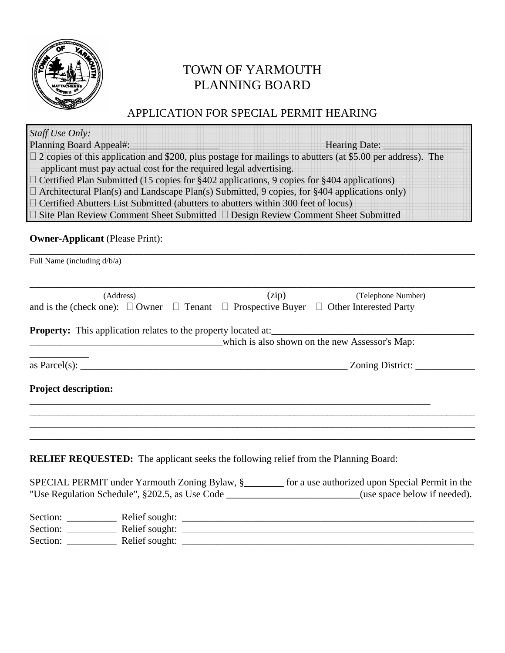

# TOWN OF YARMOUTH PLANNING BOARD

## APPLICATION FOR SPECIAL PERMIT HEARING

| Staff Use Only:                                                       |                                                                                                                                                                                                 |
|-----------------------------------------------------------------------|-------------------------------------------------------------------------------------------------------------------------------------------------------------------------------------------------|
| <b>Planning Board Appeal#:</b>                                        | Hearing Date:                                                                                                                                                                                   |
|                                                                       | $\Box$ 2 copies of this application and \$200, plus postage for mailings to abutters (at \$5.00 per address). The<br>applicant must pay actual cost for the required legal advertising.         |
|                                                                       | $\Box$ Certified Plan Submitted (15 copies for §402 applications, 9 copies for §404 applications)                                                                                               |
|                                                                       | $\Box$ Architectural Plan(s) and Landscape Plan(s) Submitted, 9 copies, for §404 applications only)<br>$\Box$ Certified Abutters List Submitted (abutters to abutters within 300 feet of locus) |
|                                                                       | □ Site Plan Review Comment Sheet Submitted □ Design Review Comment Sheet Submitted                                                                                                              |
| <b>Owner-Applicant</b> (Please Print):                                |                                                                                                                                                                                                 |
| Full Name (including d/b/a)                                           |                                                                                                                                                                                                 |
| (Address)                                                             | (zip)<br>(Telephone Number)                                                                                                                                                                     |
|                                                                       | and is the (check one): $\Box$ Owner $\Box$ Tenant $\Box$ Prospective Buyer $\Box$ Other Interested Party                                                                                       |
|                                                                       |                                                                                                                                                                                                 |
| <b>Property:</b> This application relates to the property located at: |                                                                                                                                                                                                 |
|                                                                       | which is also shown on the new Assessor's Map:                                                                                                                                                  |
|                                                                       | Zoning District:                                                                                                                                                                                |
| <b>Project description:</b>                                           |                                                                                                                                                                                                 |
|                                                                       |                                                                                                                                                                                                 |
|                                                                       | <b>RELIEF REQUESTED:</b> The applicant seeks the following relief from the Planning Board:                                                                                                      |
|                                                                       | SPECIAL PERMIT under Yarmouth Zoning Bylaw, §<br>1991 or a use authorized upon Special Permit in the<br>"Use Regulation Schedule", §202.5, as Use Code (use space below if needed).             |
|                                                                       |                                                                                                                                                                                                 |
|                                                                       |                                                                                                                                                                                                 |
|                                                                       |                                                                                                                                                                                                 |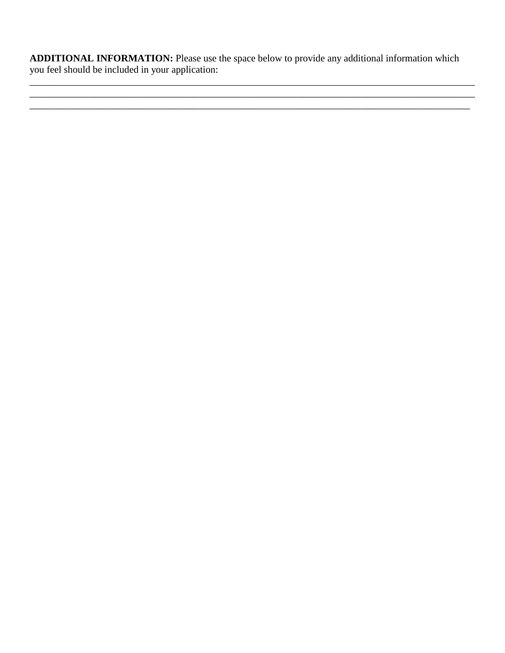**ADDITIONAL INFORMATION:** Please use the space below to provide any additional information which you feel should be included in your application:

\_\_\_\_\_\_\_\_\_\_\_\_\_\_\_\_\_\_\_\_\_\_\_\_\_\_\_\_\_\_\_\_\_\_\_\_\_\_\_\_\_\_\_\_\_\_\_\_\_\_\_\_\_\_\_\_\_\_\_\_\_\_\_\_\_\_\_\_\_\_\_\_\_\_\_\_\_\_\_\_\_\_\_\_\_\_\_\_\_\_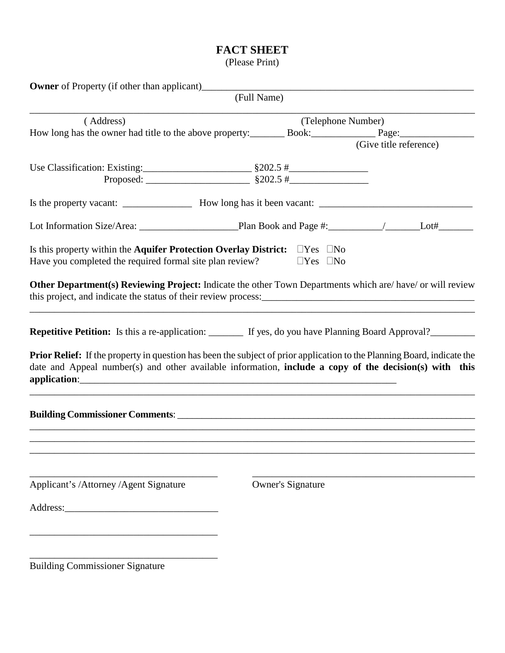### **FACT SHEET**

(Please Print)

|                                                                                                                                                                                                                                          | (Full Name)              |                        |
|------------------------------------------------------------------------------------------------------------------------------------------------------------------------------------------------------------------------------------------|--------------------------|------------------------|
| (Address)                                                                                                                                                                                                                                |                          | (Telephone Number)     |
| How long has the owner had title to the above property: Book: Book: Page:                                                                                                                                                                |                          |                        |
|                                                                                                                                                                                                                                          |                          | (Give title reference) |
|                                                                                                                                                                                                                                          |                          |                        |
|                                                                                                                                                                                                                                          |                          |                        |
|                                                                                                                                                                                                                                          |                          |                        |
|                                                                                                                                                                                                                                          |                          |                        |
| Is this property within the <b>Aquifer Protection Overlay District:</b> $\Box$ Yes $\Box$ No                                                                                                                                             |                          |                        |
| Have you completed the required formal site plan review?                                                                                                                                                                                 | $\Box$ Yes $\Box$ No     |                        |
| Other Department(s) Reviewing Project: Indicate the other Town Departments which are/have/or will review                                                                                                                                 |                          |                        |
| <b>Repetitive Petition:</b> Is this a re-application: _______ If yes, do you have Planning Board Approval?________                                                                                                                       |                          |                        |
| <b>Prior Relief:</b> If the property in question has been the subject of prior application to the Planning Board, indicate the<br>date and Appeal number(s) and other available information, include a copy of the decision(s) with this |                          |                        |
|                                                                                                                                                                                                                                          |                          |                        |
|                                                                                                                                                                                                                                          |                          |                        |
| Applicant's /Attorney /Agent Signature                                                                                                                                                                                                   | <b>Owner's Signature</b> |                        |
| Address:                                                                                                                                                                                                                                 |                          |                        |
|                                                                                                                                                                                                                                          |                          |                        |
| <b>Building Commissioner Signature</b>                                                                                                                                                                                                   |                          |                        |